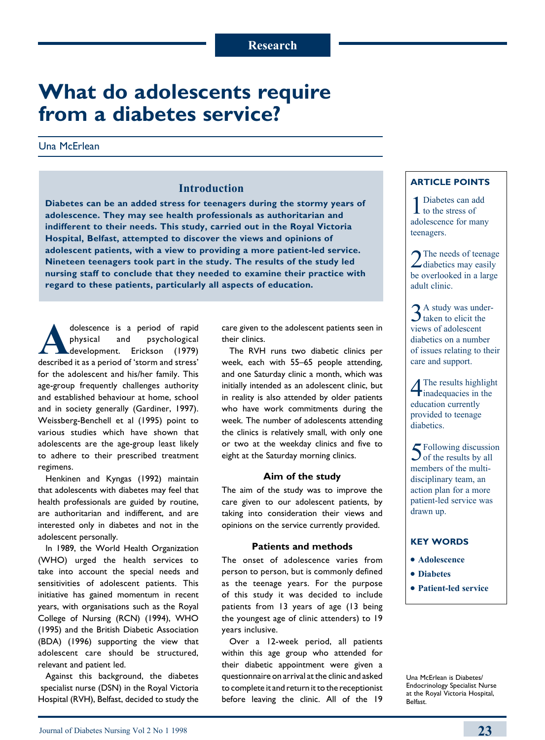# **What do adolescents require from a diabetes service?**

## Una McErlean

# **Introduction**

**Diabetes can be an added stress for teenagers during the stormy years of adolescence. They may see health professionals as authoritarian and indifferent to their needs. This study, carried out in the Royal Victoria Hospital, Belfast, attempted to discover the views and opinions of adolescent patients, with a view to providing a more patient-led service. Nineteen teenagers took part in the study. The results of the study led nursing staff to conclude that they needed to examine their practice with regard to these patients, particularly all aspects of education.**

dolescence is a period of rapid<br>physical and psychological<br>development. Erickson (1979)<br>described it as a period of 'storm and stress' physical and psychological development. Erickson (1979) described it as a period of 'storm and stress' for the adolescent and his/her family. This age-group frequently challenges authority and established behaviour at home, school and in society generally (Gardiner, 1997). Weissberg-Benchell et al (1995) point to various studies which have shown that adolescents are the age-group least likely to adhere to their prescribed treatment regimens.

Henkinen and Kyngas (1992) maintain that adolescents with diabetes may feel that health professionals are guided by routine, are authoritarian and indifferent, and are interested only in diabetes and not in the adolescent personally.

In 1989, the World Health Organization (WHO) urged the health services to take into account the special needs and sensitivities of adolescent patients. This initiative has gained momentum in recent years, with organisations such as the Royal College of Nursing (RCN) (1994), WHO (1995) and the British Diabetic Association (BDA) (1996) supporting the view that adolescent care should be structured, relevant and patient led.

Against this background, the diabetes specialist nurse (DSN) in the Royal Victoria Hospital (RVH), Belfast, decided to study the care given to the adolescent patients seen in their clinics.

The RVH runs two diabetic clinics per week, each with 55–65 people attending, and one Saturday clinic a month, which was initially intended as an adolescent clinic, but in reality is also attended by older patients who have work commitments during the week. The number of adolescents attending the clinics is relatively small, with only one or two at the weekday clinics and five to eight at the Saturday morning clinics.

#### **Aim of the study**

The aim of the study was to improve the care given to our adolescent patients, by taking into consideration their views and opinions on the service currently provided.

#### **Patients and methods**

The onset of adolescence varies from person to person, but is commonly defined as the teenage years. For the purpose of this study it was decided to include patients from 13 years of age (13 being the youngest age of clinic attenders) to 19 years inclusive.

Over a 12-week period, all patients within this age group who attended for their diabetic appointment were given a questionnaire on arrival at the clinic and asked to complete it and return it to the receptionist before leaving the clinic. All of the 19

## **Article points**

1 Diabetes can add<br>to the stress of adolescence for many teenagers.

2 The needs of teenage<br>diabetics may easily be overlooked in a large adult clinic.

3<sup>A</sup> study was under-<br>taken to elicit the views of adolescent diabetics on a number of issues relating to their care and support.

4The results highlight inadequacies in the education currently provided to teenage diabetics.

5 Following discussion<br>of the results by all members of the multidisciplinary team, an action plan for a more patient-led service was drawn up.

#### **Key words**

- **Adolescence**
- $\bullet$  Diabetes
- <sup>l</sup>**Patient-led service**

Una McErlean is Diabetes/ Endocrinology Specialist Nurse at the Royal Victoria Hospital, Belfast.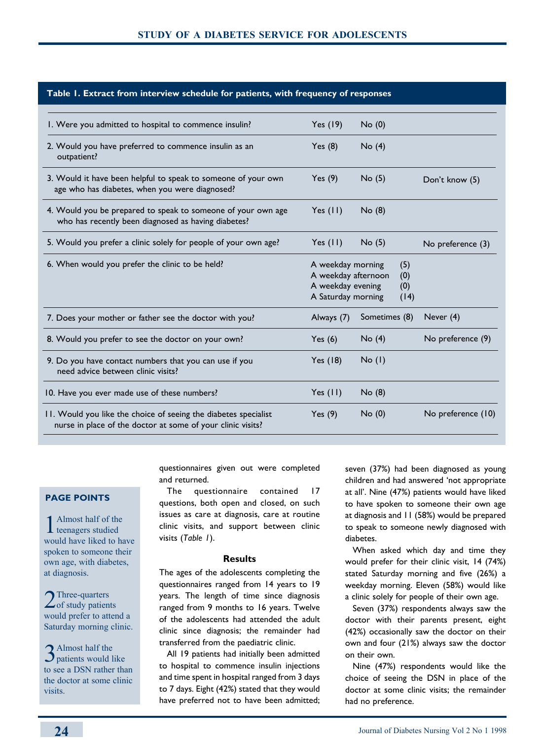| Table 1. Extract from interview schedule for patients, with frequency of responses                                             |                                                                                                                  |               |  |                    |  |
|--------------------------------------------------------------------------------------------------------------------------------|------------------------------------------------------------------------------------------------------------------|---------------|--|--------------------|--|
| I. Were you admitted to hospital to commence insulin?                                                                          | Yes (19)                                                                                                         | No(0)         |  |                    |  |
| 2. Would you have preferred to commence insulin as an<br>outpatient?                                                           | Yes(8)                                                                                                           | No(4)         |  |                    |  |
| 3. Would it have been helpful to speak to someone of your own<br>age who has diabetes, when you were diagnosed?                | Yes $(9)$                                                                                                        | No(5)         |  | Don't know (5)     |  |
| 4. Would you be prepared to speak to someone of your own age<br>who has recently been diagnosed as having diabetes?            | Yes $(11)$                                                                                                       | No(8)         |  |                    |  |
| 5. Would you prefer a clinic solely for people of your own age?                                                                | Yes $(11)$                                                                                                       | No(5)         |  | No preference (3)  |  |
| 6. When would you prefer the clinic to be held?                                                                                | A weekday morning<br>(5)<br>A weekday afternoon<br>(0)<br>A weekday evening<br>(0)<br>A Saturday morning<br>(14) |               |  |                    |  |
| 7. Does your mother or father see the doctor with you?                                                                         | Always (7)                                                                                                       | Sometimes (8) |  | Never (4)          |  |
| 8. Would you prefer to see the doctor on your own?                                                                             | Yes $(6)$                                                                                                        | No(4)         |  | No preference (9)  |  |
| 9. Do you have contact numbers that you can use if you<br>need advice between clinic visits?                                   | Yes (18)                                                                                                         | No(1)         |  |                    |  |
| 10. Have you ever made use of these numbers?                                                                                   | Yes $(11)$                                                                                                       | No(8)         |  |                    |  |
| 11. Would you like the choice of seeing the diabetes specialist<br>nurse in place of the doctor at some of your clinic visits? | Yes $(9)$                                                                                                        | No(0)         |  | No preference (10) |  |

## **Page points**

1 Almost half of the teenagers studied would have liked to have spoken to someone their own age, with diabetes, at diagnosis.

2 Three-quarters<br>
of study patients would prefer to attend a Saturday morning clinic.

3 Almost half the<br>3 patients would like to see a DSN rather than the doctor at some clinic visits.

questionnaires given out were completed and returned.

The questionnaire contained 17 questions, both open and closed, on such issues as care at diagnosis, care at routine clinic visits, and support between clinic visits (*Table 1*).

#### **Results**

The ages of the adolescents completing the questionnaires ranged from 14 years to 19 years. The length of time since diagnosis ranged from 9 months to 16 years. Twelve of the adolescents had attended the adult clinic since diagnosis; the remainder had transferred from the paediatric clinic.

All 19 patients had initially been admitted to hospital to commence insulin injections and time spent in hospital ranged from 3 days to 7 days. Eight (42%) stated that they would have preferred not to have been admitted; seven (37%) had been diagnosed as young children and had answered 'not appropriate at all'. Nine (47%) patients would have liked to have spoken to someone their own age at diagnosis and 11 (58%) would be prepared to speak to someone newly diagnosed with diabetes.

When asked which day and time they would prefer for their clinic visit, 14 (74%) stated Saturday morning and five (26%) a weekday morning. Eleven (58%) would like a clinic solely for people of their own age.

Seven (37%) respondents always saw the doctor with their parents present, eight (42%) occasionally saw the doctor on their own and four (21%) always saw the doctor on their own.

Nine (47%) respondents would like the choice of seeing the DSN in place of the doctor at some clinic visits; the remainder had no preference.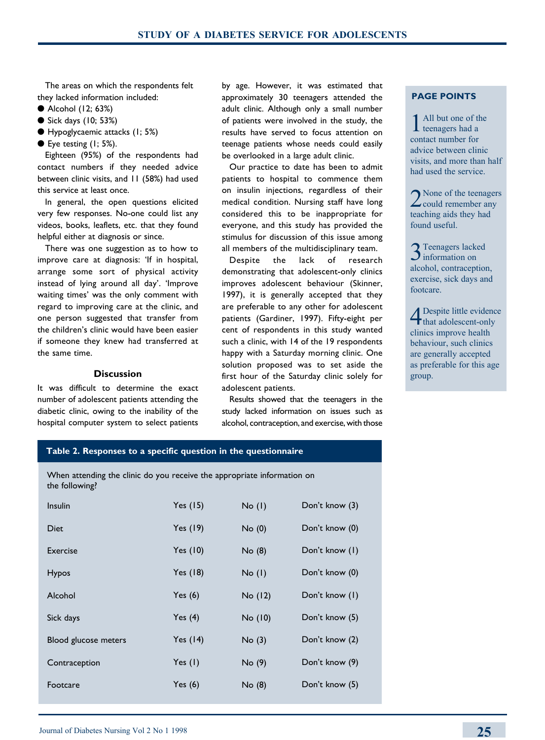The areas on which the respondents felt they lacked information included:

- Alcohol (12; 63%)
- $\bullet$  Sick days (10; 53%)
- l Hypoglycaemic attacks (1; 5%)
- $\bullet$  Eye testing (1; 5%).

Eighteen (95%) of the respondents had contact numbers if they needed advice between clinic visits, and 11 (58%) had used this service at least once.

In general, the open questions elicited very few responses. No-one could list any videos, books, leaflets, etc. that they found helpful either at diagnosis or since.

There was one suggestion as to how to improve care at diagnosis: 'If in hospital, arrange some sort of physical activity instead of lying around all day'. 'Improve waiting times' was the only comment with regard to improving care at the clinic, and one person suggested that transfer from the children's clinic would have been easier if someone they knew had transferred at the same time.

## **Discussion**

It was difficult to determine the exact number of adolescent patients attending the diabetic clinic, owing to the inability of the hospital computer system to select patients by age. However, it was estimated that approximately 30 teenagers attended the adult clinic. Although only a small number of patients were involved in the study, the results have served to focus attention on teenage patients whose needs could easily be overlooked in a large adult clinic.

Our practice to date has been to admit patients to hospital to commence them on insulin injections, regardless of their medical condition. Nursing staff have long considered this to be inappropriate for everyone, and this study has provided the stimulus for discussion of this issue among all members of the multidisciplinary team.

Despite the lack of research demonstrating that adolescent-only clinics improves adolescent behaviour (Skinner, 1997), it is generally accepted that they are preferable to any other for adolescent patients (Gardiner, 1997). Fifty-eight per cent of respondents in this study wanted such a clinic, with 14 of the 19 respondents happy with a Saturday morning clinic. One solution proposed was to set aside the first hour of the Saturday clinic solely for adolescent patients.

Results showed that the teenagers in the study lacked information on issues such as alcohol, contraception, and exercise, with those

## **Page points**

All but one of the  $\bf{l}$  teenagers had a contact number for advice between clinic visits, and more than half had used the service.

2 None of the teenagers<br>could remember any teaching aids they had found useful.

3Teenagers lacked information on alcohol, contraception, exercise, sick days and footcare.

4Despite little evidence that adolescent-only clinics improve health behaviour, such clinics are generally accepted as preferable for this age group.

### **Table 2. Responses to a specific question in the questionnaire**

When attending the clinic do you receive the appropriate information on the following?

| Insulin              | Yes $(15)$ | No(1)   | Don't know (3) |
|----------------------|------------|---------|----------------|
| Diet                 | Yes (19)   | No(0)   | Don't know (0) |
| Exercise             | Yes $(10)$ | No(8)   | Don't know (I) |
| <b>Hypos</b>         | Yes (18)   | No(1)   | Don't know (0) |
| Alcohol              | Yes $(6)$  | No (12) | Don't know (I) |
| Sick days            | Yes $(4)$  | No (10) | Don't know (5) |
| Blood glucose meters | Yes $(14)$ | No(3)   | Don't know (2) |
| Contraception        | Yes $(I)$  | No(9)   | Don't know (9) |
| Footcare             | Yes $(6)$  | No(8)   | Don't know (5) |
|                      |            |         |                |